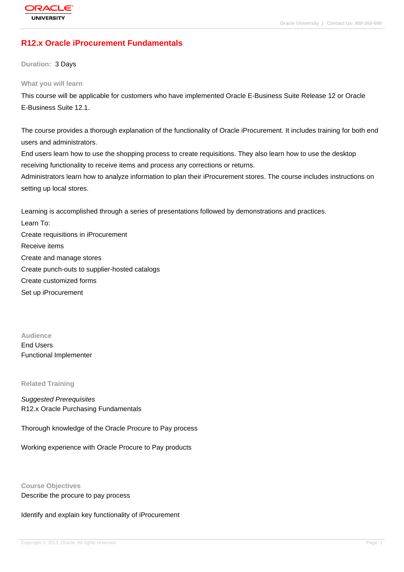# **[R12.x Oracle iP](http://education.oracle.com/pls/web_prod-plq-dad/db_pages.getpage?page_id=3)rocurement Fundamentals**

**Duration:** 3 Days

#### **What you will learn**

This course will be applicable for customers who have implemented Oracle E-Business Suite Release 12 or Oracle E-Business Suite 12.1.

The course provides a thorough explanation of the functionality of Oracle iProcurement. It includes training for both end users and administrators.

End users learn how to use the shopping process to create requisitions. They also learn how to use the desktop receiving functionality to receive items and process any corrections or returns.

Administrators learn how to analyze information to plan their iProcurement stores. The course includes instructions on setting up local stores.

Learning is accomplished through a series of presentations followed by demonstrations and practices.

Learn To: Create requisitions in iProcurement Receive items Create and manage stores Create punch-outs to supplier-hosted catalogs Create customized forms Set up iProcurement

**Audience** End Users Functional Implementer

#### **Related Training**

Suggested Prerequisites R12.x Oracle Purchasing Fundamentals

Thorough knowledge of the Oracle Procure to Pay process

Working experience with Oracle Procure to Pay products

**Course Objectives** Describe the procure to pay process

Identify and explain key functionality of iProcurement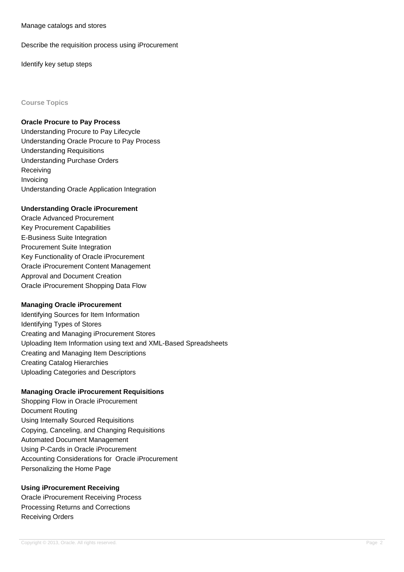Manage catalogs and stores

Describe the requisition process using iProcurement

Identify key setup steps

#### **Course Topics**

#### **Oracle Procure to Pay Process**

Understanding Procure to Pay Lifecycle Understanding Oracle Procure to Pay Process Understanding Requisitions Understanding Purchase Orders Receiving Invoicing Understanding Oracle Application Integration

## **Understanding Oracle iProcurement**

Oracle Advanced Procurement Key Procurement Capabilities E-Business Suite Integration Procurement Suite Integration Key Functionality of Oracle iProcurement Oracle iProcurement Content Management Approval and Document Creation Oracle iProcurement Shopping Data Flow

## **Managing Oracle iProcurement**

Identifying Sources for Item Information Identifying Types of Stores Creating and Managing iProcurement Stores Uploading Item Information using text and XML-Based Spreadsheets Creating and Managing Item Descriptions Creating Catalog Hierarchies Uploading Categories and Descriptors

## **Managing Oracle iProcurement Requisitions**

Shopping Flow in Oracle iProcurement Document Routing Using Internally Sourced Requisitions Copying, Canceling, and Changing Requisitions Automated Document Management Using P-Cards in Oracle iProcurement Accounting Considerations for Oracle iProcurement Personalizing the Home Page

## **Using iProcurement Receiving**

Oracle iProcurement Receiving Process Processing Returns and Corrections Receiving Orders